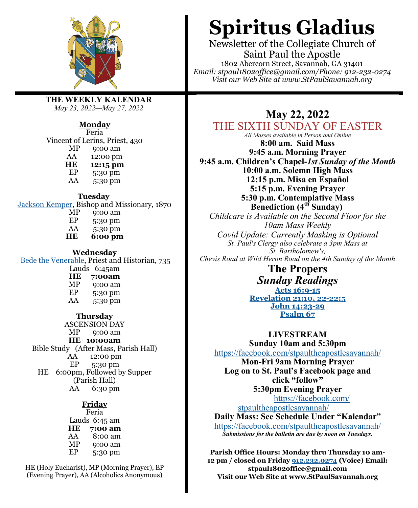

**THE WEEKLY KALENDAR** *May 23, 2022—May 27, 2022*

#### **Monday**

Feria Vincent of Lerins, Priest, 430<br>MP 9:00 am 9:00 am AA 12:00 pm **HE 12:15 pm**<br>**EP 5:30 pm** EP  $5:30 \text{ pm}$ <br>AA  $5:30 \text{ pm}$ 5:30 pm **Tuesday**

[Jackson Kemper,](https://www.lectionarypage.net/LesserFF/May/Kemper.html) Bishop and Missionary, 1870<br>MP 0:00 am  $MP$  9:00 am<br>EP 5:30 pm  $EP$  5:30 pm<br>AA 5:30 pm 5:30 pm **HE 6:00 pm**

**Wednesday**

[Bede the Venerable,](https://www.lectionarypage.net/LesserFF/May/Bede.html) Priest and Historian, 735 Lauds 6:45am **HE 7:00am** MP 9:00 am<br>EP 5:30 pm 5:30 pm AA 5:30 pm **Thursday** ASCENSION DAY

MP 9:00 am **HE 10:00am** Bible Study (After Mass, Parish Hall) AA 12:00 pm EP 5:30 pm HE 6:00pm, Followed by Supper (Parish Hall) AA 6:30 pm

> **Friday** Feria Lauds 6:45 am **HE 7:00 am** 8:00 am MP 9:00 am EP 5:30 pm

HE (Holy Eucharist), MP (Morning Prayer), EP (Evening Prayer), AA (Alcoholics Anonymous)

# **Spiritus Gladius**

Newsletter of the Collegiate Church of Saint Paul the Apostle 1802 Abercorn Street, Savannah, GA 31401 *Email: stpaul1802office@gmail.com/Phone: 912-232-0274 Visit our Web Site at www.StPaulSavannah.org*

# **May 22, 2022**

## THE SIXTH SUNDAY OF EASTER

*All Masses available in Person and Online* **8:00 am. Said Mass 9:45 a.m. Morning Prayer 9:45 a.m. Children's Chapel-***1st Sunday of the Month* **10:00 a.m. Solemn High Mass 12:15 p.m. Misa en Español 5:15 p.m. Evening Prayer 5:30 p.m. Contemplative Mass Benediction (4th Sunday)** *Childcare is Available on the Second Floor for the 10am Mass Weekly Covid Update: Currently Masking is Optional St. Paul's Clergy also celebrate a 3pm Mass at St. Bartholomew's, Chevis Road at Wild Heron Road on the 4th Sunday of the Month*

> **The Propers** *Sunday Readings* **[Acts 16:9](https://www.lectionarypage.net/YearC_RCL/Easter/CEaster6_RCL.html#ot1)-15 [Revelation 21:10, 22](https://www.lectionarypage.net/YearC_RCL/Easter/CEaster6_RCL.html#nt1)-22:5 [John 14:23](https://www.lectionarypage.net/YearC_RCL/Easter/CEaster6_RCL.html#gsp1)-29 [Psalm 67](https://www.lectionarypage.net/YearC_RCL/Easter/CEaster6_RCL.html#ps1)**

> **LIVESTREAM Sunday 10am and 5:30pm**

<https://facebook.com/stpaultheapostlesavannah/> **Mon-Fri 9am Morning Prayer Log on to St. Paul's Facebook page and click "follow" 5:30pm Evening Prayer** [https://facebook.com/](https://facebook.com/stpaultheapostlesavannah/) [stpaultheapostlesavannah/](https://facebook.com/stpaultheapostlesavannah/)

**Daily Mass: See Schedule Under "Kalendar"** <https://facebook.com/stpaultheapostlesavannah/> *Submissions for the bulletin are due by noon on Tuesdays.*

**Parish Office Hours: Monday thru Thursday 10 am-12 pm / closed on Friday [912.232.0274](tel:912.232.0274) (Voice) Email: stpaul1802office@gmail.com Visit our Web Site at www.StPaulSavannah.org**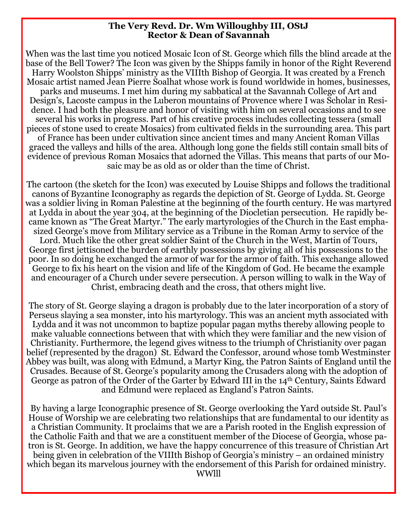#### **The Very Revd. Dr. Wm Willoughby III, OStJ Rector & Dean of Savannah**

When was the last time you noticed Mosaic Icon of St. George which fills the blind arcade at the base of the Bell Tower? The Icon was given by the Shipps family in honor of the Right Reverend Harry Woolston Shipps' ministry as the VIIIth Bishop of Georgia. It was created by a French Mosaic artist named Jean Pierre Soalhat whose work is found worldwide in homes, businesses, parks and museums. I met him during my sabbatical at the Savannah College of Art and Design's, Lacoste campus in the Luberon mountains of Provence where I was Scholar in Residence. I had both the pleasure and honor of visiting with him on several occasions and to see several his works in progress. Part of his creative process includes collecting tessera (small pieces of stone used to create Mosaics) from cultivated fields in the surrounding area. This part of France has been under cultivation since ancient times and many Ancient Roman Villas graced the valleys and hills of the area. Although long gone the fields still contain small bits of evidence of previous Roman Mosaics that adorned the Villas. This means that parts of our Mosaic may be as old as or older than the time of Christ.

The cartoon (the sketch for the Icon) was executed by Louise Shipps and follows the traditional canons of Byzantine Iconography as regards the depiction of St. George of Lydda. St. George was a soldier living in Roman Palestine at the beginning of the fourth century. He was martyred at Lydda in about the year 304, at the beginning of the Diocletian persecution. He rapidly became known as "The Great Martyr." The early martyrologies of the Church in the East emphasized George's move from Military service as a Tribune in the Roman Army to service of the Lord. Much like the other great soldier Saint of the Church in the West, Martin of Tours, George first jettisoned the burden of earthly possessions by giving all of his possessions to the poor. In so doing he exchanged the armor of war for the armor of faith. This exchange allowed George to fix his heart on the vision and life of the Kingdom of God. He became the example and encourager of a Church under severe persecution. A person willing to walk in the Way of Christ, embracing death and the cross, that others might live.

The story of St. George slaying a dragon is probably due to the later incorporation of a story of Perseus slaying a sea monster, into his martyrology. This was an ancient myth associated with Lydda and it was not uncommon to baptize popular pagan myths thereby allowing people to make valuable connections between that with which they were familiar and the new vision of Christianity. Furthermore, the legend gives witness to the triumph of Christianity over pagan belief (represented by the dragon) St. Edward the Confessor, around whose tomb Westminster Abbey was built, was along with Edmund, a Martyr King, the Patron Saints of England until the Crusades. Because of St. George's popularity among the Crusaders along with the adoption of George as patron of the Order of the Garter by Edward III in the 14<sup>th</sup> Century, Saints Edward and Edmund were replaced as England's Patron Saints.

By having a large Iconographic presence of St. George overlooking the Yard outside St. Paul's House of Worship we are celebrating two relationships that are fundamental to our identity as a Christian Community. It proclaims that we are a Parish rooted in the English expression of the Catholic Faith and that we are a constituent member of the Diocese of Georgia, whose patron is St. George. In addition, we have the happy concurrence of this treasure of Christian Art being given in celebration of the VIIIth Bishop of Georgia's ministry – an ordained ministry which began its marvelous journey with the endorsement of this Parish for ordained ministry. WWlll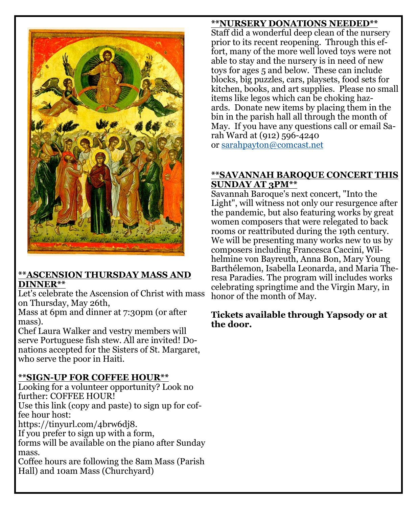

## **\*\*ASCENSION THURSDAY MASS AND DINNER\*\***

Let's celebrate the Ascension of Christ with mass on Thursday, May 26th,

Mass at 6pm and dinner at 7:30pm (or after mass).

Chef Laura Walker and vestry members will serve Portuguese fish stew. All are invited! Donations accepted for the Sisters of St. Margaret, who serve the poor in Haiti.

## **\*\*SIGN-UP FOR COFFEE HOUR\*\***

Looking for a volunteer opportunity? Look no further: COFFEE HOUR!

Use this link (copy and paste) to sign up for coffee hour host:

https://tinyurl.com/4brw6dj8.

If you prefer to sign up with a form,

forms will be available on the piano after Sunday mass.

Coffee hours are following the 8am Mass (Parish Hall) and 10am Mass (Churchyard)

## **\*\*NURSERY DONATIONS NEEDED\*\***

Staff did a wonderful deep clean of the nursery prior to its recent reopening. Through this effort, many of the more well loved toys were not able to stay and the nursery is in need of new toys for ages 5 and below. These can include blocks, big puzzles, cars, playsets, food sets for kitchen, books, and art supplies. Please no small items like legos which can be choking hazards. Donate new items by placing them in the bin in the parish hall all through the month of May. If you have any questions call or email Sarah Ward at (912) 596-4240 or [sarahpayton@comcast.net](mailto:sarahpayton@comcast.net)

**\*\*SAVANNAH BAROQUE CONCERT THIS SUNDAY AT 3PM\*\***

Savannah Baroque's next concert, "Into the Light", will witness not only our resurgence after the pandemic, but also featuring works by great women composers that were relegated to back rooms or reattributed during the 19th century. We will be presenting many works new to us by composers including Francesca Caccini, Wilhelmine von Bayreuth, Anna Bon, Mary Young Barthélemon, Isabella Leonarda, and Maria Theresa Paradies. The program will includes works celebrating springtime and the Virgin Mary, in honor of the month of May.

## **Tickets available through Yapsody or at the door.**